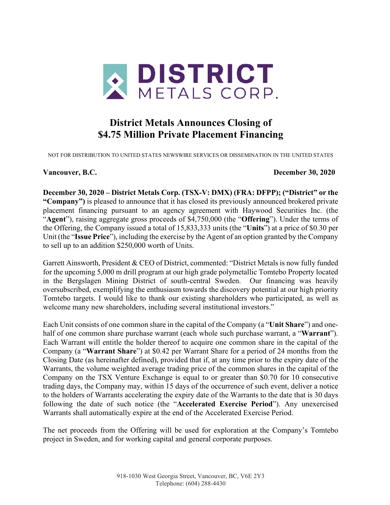

# **District Metals Announces Closing of \$4.75 Million Private Placement Financing**

NOT FOR DISTRIBUTION TO UNITED STATES NEWSWIRE SERVICES OR DISSEMINATION IN THE UNITED STATES

### **Vancouver, B.C. December 30, 2020**

**December 30, 2020 – District Metals Corp. (TSX-V: DMX) (FRA: DFPP); ("District" or the "Company")** is pleased to announce that it has closed its previously announced brokered private placement financing pursuant to an agency agreement with Haywood Securities Inc. (the "**Agent**"), raising aggregate gross proceeds of \$4,750,000 (the "**Offering**"). Under the terms of the Offering, the Company issued a total of 15,833,333 units (the "**Units**") at a price of \$0.30 per Unit (the "**Issue Price**"), including the exercise by the Agent of an option granted by the Company to sell up to an addition \$250,000 worth of Units.

Garrett Ainsworth, President & CEO of District, commented: "District Metals is now fully funded for the upcoming 5,000 m drill program at our high grade polymetallic Tomtebo Property located in the Bergslagen Mining District of south-central Sweden. Our financing was heavily oversubscribed, exemplifying the enthusiasm towards the discovery potential at our high priority Tomtebo targets. I would like to thank our existing shareholders who participated, as well as welcome many new shareholders, including several institutional investors."

Each Unit consists of one common share in the capital of the Company (a "**Unit Share**") and onehalf of one common share purchase warrant (each whole such purchase warrant, a "**Warrant**"). Each Warrant will entitle the holder thereof to acquire one common share in the capital of the Company (a "**Warrant Share**") at \$0.42 per Warrant Share for a period of 24 months from the Closing Date (as hereinafter defined), provided that if, at any time prior to the expiry date of the Warrants, the volume weighted average trading price of the common shares in the capital of the Company on the TSX Venture Exchange is equal to or greater than \$0.70 for 10 consecutive trading days, the Company may, within 15 days of the occurrence of such event, deliver a notice to the holders of Warrants accelerating the expiry date of the Warrants to the date that is 30 days following the date of such notice (the "**Accelerated Exercise Period**"). Any unexercised Warrants shall automatically expire at the end of the Accelerated Exercise Period.

The net proceeds from the Offering will be used for exploration at the Company's Tomtebo project in Sweden, and for working capital and general corporate purposes.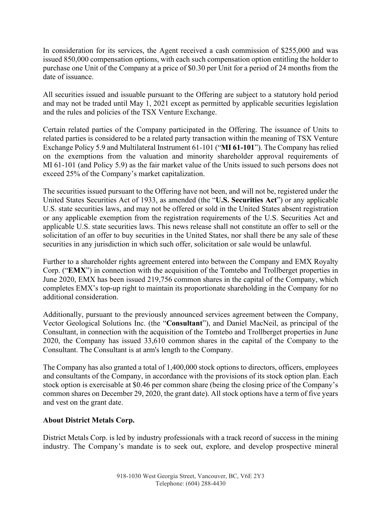In consideration for its services, the Agent received a cash commission of \$255,000 and was issued 850,000 compensation options, with each such compensation option entitling the holder to purchase one Unit of the Company at a price of \$0.30 per Unit for a period of 24 months from the date of issuance.

All securities issued and issuable pursuant to the Offering are subject to a statutory hold period and may not be traded until May 1, 2021 except as permitted by applicable securities legislation and the rules and policies of the TSX Venture Exchange.

Certain related parties of the Company participated in the Offering. The issuance of Units to related parties is considered to be a related party transaction within the meaning of TSX Venture Exchange Policy 5.9 and Multilateral Instrument 61-101 ("**MI 61-101**"). The Company has relied on the exemptions from the valuation and minority shareholder approval requirements of MI 61-101 (and Policy 5.9) as the fair market value of the Units issued to such persons does not exceed 25% of the Company's market capitalization.

The securities issued pursuant to the Offering have not been, and will not be, registered under the United States Securities Act of 1933, as amended (the "**U.S. Securities Act**") or any applicable U.S. state securities laws, and may not be offered or sold in the United States absent registration or any applicable exemption from the registration requirements of the U.S. Securities Act and applicable U.S. state securities laws. This news release shall not constitute an offer to sell or the solicitation of an offer to buy securities in the United States, nor shall there be any sale of these securities in any jurisdiction in which such offer, solicitation or sale would be unlawful.

Further to a shareholder rights agreement entered into between the Company and EMX Royalty Corp. ("**EMX**") in connection with the acquisition of the Tomtebo and Trollberget properties in June 2020, EMX has been issued 219,756 common shares in the capital of the Company, which completes EMX's top-up right to maintain its proportionate shareholding in the Company for no additional consideration.

Additionally, pursuant to the previously announced services agreement between the Company, Vector Geological Solutions Inc. (the "**Consultant**"), and Daniel MacNeil, as principal of the Consultant, in connection with the acquisition of the Tomtebo and Trollberget properties in June 2020, the Company has issued 33,610 common shares in the capital of the Company to the Consultant. The Consultant is at arm's length to the Company.

The Company has also granted a total of 1,400,000 stock options to directors, officers, employees and consultants of the Company, in accordance with the provisions of its stock option plan. Each stock option is exercisable at \$0.46 per common share (being the closing price of the Company's common shares on December 29, 2020, the grant date). All stock options have a term of five years and vest on the grant date.

## **About District Metals Corp.**

District Metals Corp. is led by industry professionals with a track record of success in the mining industry. The Company's mandate is to seek out, explore, and develop prospective mineral